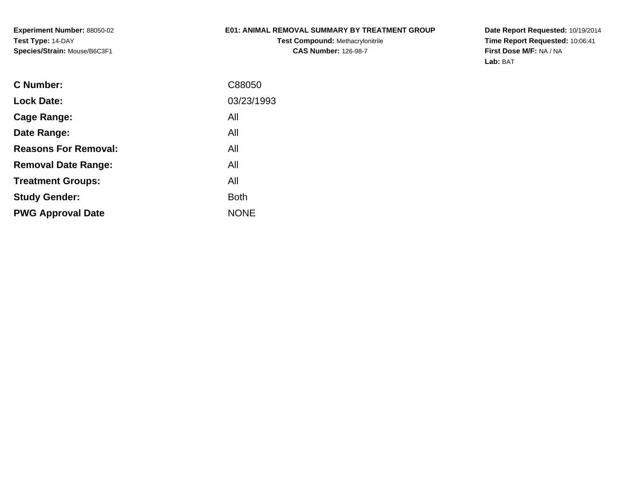**Experiment Number:** 88050-02**Test Type:** 14-DAY**Species/Strain:** Mouse/B6C3F1

# **E01: ANIMAL REMOVAL SUMMARY BY TREATMENT GROUP**

**Test Compound:** Methacrylonitrile**CAS Number:** 126-98-7

| C Number:                   | C88050      |
|-----------------------------|-------------|
| <b>Lock Date:</b>           | 03/23/1993  |
| Cage Range:                 | All         |
| Date Range:                 | All         |
| <b>Reasons For Removal:</b> | All         |
| <b>Removal Date Range:</b>  | All         |
| <b>Treatment Groups:</b>    | All         |
| <b>Study Gender:</b>        | <b>Both</b> |
| <b>PWG Approval Date</b>    | <b>NONE</b> |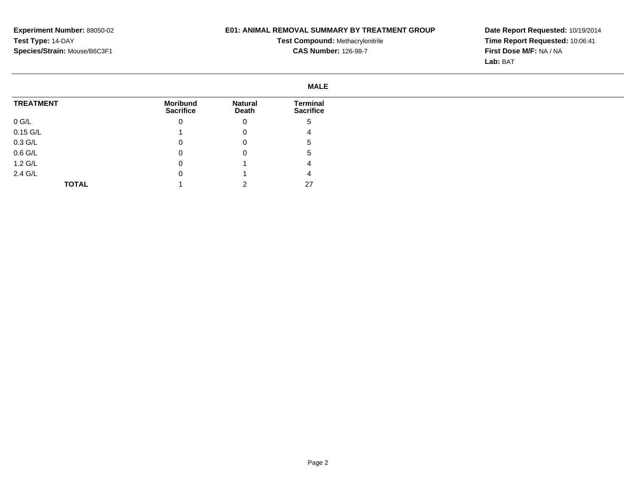# **E01: ANIMAL REMOVAL SUMMARY BY TREATMENT GROUP**

**Test Compound:** Methacrylonitrile**CAS Number:** 126-98-7

|                   | <b>MALE</b>                         |                         |                                     |
|-------------------|-------------------------------------|-------------------------|-------------------------------------|
| <b>TREATMENT</b>  | <b>Moribund</b><br><b>Sacrifice</b> | <b>Natural</b><br>Death | <b>Terminal</b><br><b>Sacrifice</b> |
| $0$ G/L           | 0                                   | 0                       | 5                                   |
| $0.15$ G/L        |                                     | 0                       | 4                                   |
| $0.3$ G/L         | 0                                   | 0                       | 5                                   |
| $0.6$ G/L         | 0                                   | 0                       | $\mathbf{c}$                        |
| $1.2 \text{ G/L}$ | 0                                   |                         | 4                                   |
| 2.4 G/L           | 0                                   |                         | 4                                   |
| <b>TOTAL</b>      |                                     |                         | 27                                  |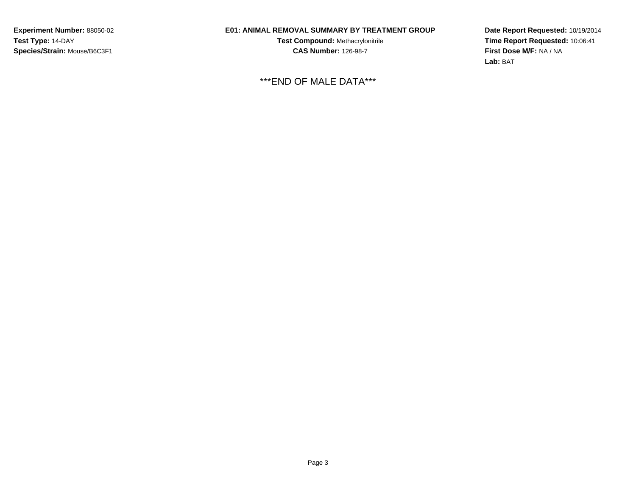**Experiment Number:** 88050-02**Test Type:** 14-DAY**Species/Strain:** Mouse/B6C3F1

# **E01: ANIMAL REMOVAL SUMMARY BY TREATMENT GROUP**

**Test Compound:** Methacrylonitrile**CAS Number:** 126-98-7

\*\*\*END OF MALE DATA\*\*\*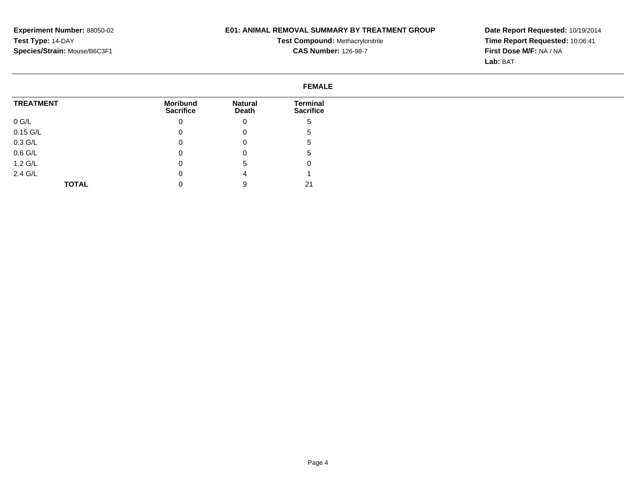# **E01: ANIMAL REMOVAL SUMMARY BY TREATMENT GROUP**

**Test Compound:** Methacrylonitrile**CAS Number:** 126-98-7

|                  | <b>FEMALE</b>                       |                         |                                     |
|------------------|-------------------------------------|-------------------------|-------------------------------------|
| <b>TREATMENT</b> | <b>Moribund</b><br><b>Sacrifice</b> | <b>Natural</b><br>Death | <b>Terminal</b><br><b>Sacrifice</b> |
| $0$ G/L          | 0                                   | 0                       | G                                   |
| $0.15$ G/L       | 0                                   | 0                       | b                                   |
| $0.3$ G/L        | 0                                   | 0                       | G                                   |
| $0.6$ G/L        | 0                                   | 0                       | G                                   |
| $1.2$ G/L        | 0                                   | 5                       | υ                                   |
| 2.4 G/L          | 0                                   | 4                       |                                     |
| <b>TOTAL</b>     | 0                                   | 9                       | 21                                  |